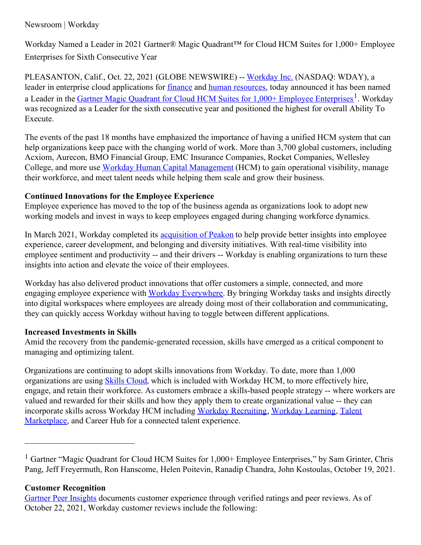# Newsroom | Workday

Workday Named a Leader in 2021 Gartner® Magic Quadrant™ for Cloud HCM Suites for 1,000+ Employee Enterprises for Sixth Consecutive Year

PLEASANTON, Calif., Oct. 22, 2021 (GLOBE NEWSWIRE) -- [Workday](https://www.workday.com/) Inc. (NASDAQ: WDAY), a leader in enterprise cloud applications for [finance](https://www.workday.com/en-us/products/financial-management/overview.html) and human [resources](https://www.workday.com/en-us/products/human-capital-management/overview.html), today announced it has been named a Leader in the *Gartner Magic Quadrant for Cloud HCM Suites for 1,000+ Employee [Enterprises](https://forms.workday.com/en-us/reports/report-gartner-hcm-magic-quadrant/form.html?step=step1_default)*<sup>1</sup>. Workday was recognized as a Leader for the sixth consecutive year and positioned the highest for overall Ability To Execute.

The events of the past 18 months have emphasized the importance of having a unified HCM system that can help organizations keep pace with the changing world of work. More than 3,700 global customers, including Acxiom, Aurecon, BMO Financial Group, EMC Insurance Companies, Rocket Companies, Wellesley College, and more use Workday Human Capital [Management](https://www.workday.com/en-us/products/human-capital-management/overview.html) (HCM) to gain operational visibility, manage their workforce, and meet talent needs while helping them scale and grow their business.

## **Continued Innovations for the Employee Experience**

Employee experience has moved to the top of the business agenda as organizations look to adopt new working models and invest in ways to keep employees engaged during changing workforce dynamics.

In March 2021, Workday completed its **[acquisition](https://www.workday.com/en-us/company/latest/newsroom/press-releases/press-release-details.html?id=2189566) of Peakon** to help provide better insights into employee experience, career development, and belonging and diversity initiatives. With real-time visibility into employee sentiment and productivity -- and their drivers -- Workday is enabling organizations to turn these insights into action and elevate the voice of their employees.

Workday has also delivered product innovations that offer customers a simple, connected, and more engaging employee experience with Workday [Everywhere](https://www.workday.com/en-us/company/latest/newsroom/press-releases/press-release-details.html?id=2316620). By bringing Workday tasks and insights directly into digital workspaces where employees are already doing most of their collaboration and communicating, they can quickly access Workday without having to toggle between different applications.

## **Increased Investments in Skills**

Amid the recovery from the pandemic-generated recession, skills have emerged as a critical component to managing and optimizing talent.

Organizations are continuing to adopt skills innovations from Workday. To date, more than 1,000 organizations are using Skills [Cloud](https://www.workday.com/en-us/company/latest/newsroom/press-releases/press-release-details.html?id=2301330), which is included with Workday HCM, to more effectively hire, engage, and retain their workforce. As customers embrace a skills-based people strategy -- where workers are valued and rewarded for their skills and how they apply them to create organizational value -- they can incorporate skills across Workday HCM including Workday [Recruiting](https://www.workday.com/en-us/products/talent-management/talent-acquisition.html), [Workday](https://www.workday.com/en-us/products/talent-management/learning.html) Learning, Talent [Marketplace,](https://www.workday.com/en-us/products/talent-management/performance-optimization.html) and Career Hub for a connected talent experience.

#### **Customer Recognition**

<sup>&</sup>lt;sup>1</sup> Gartner "Magic Quadrant for Cloud HCM Suites for 1,000+ Employee Enterprises," by Sam Grinter, Chris Pang, Jeff Freyermuth, Ron Hanscome, Helen Poitevin, Ranadip Chandra, John Kostoulas, October 19, 2021.

Gartner Peer [Insights](https://www.gartner.com/reviews/market/cloud-hcm-suites-for-1000-employees/vendor/workday-hcm/product/workday-hcm) documents customer experience through verified ratings and peer reviews. As of October 22, 2021, Workday customer reviews include the following: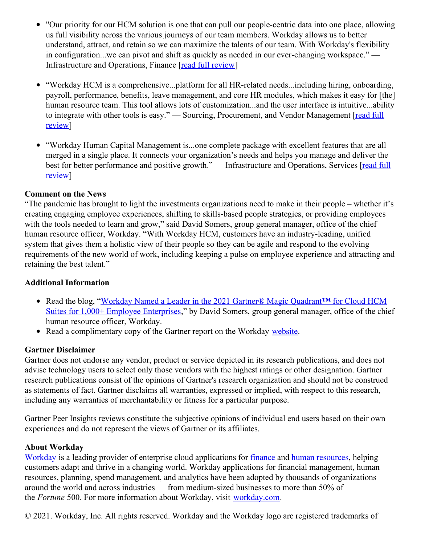- "Our priority for our HCM solution is one that can pull our people-centric data into one place, allowing us full visibility across the various journeys of our team members. Workday allows us to better understand, attract, and retain so we can maximize the talents of our team. With Workday's flexibility in configuration...we can pivot and shift as quickly as needed in our ever-changing workspace." — Infrastructure and Operations, Finance [read full [review](https://www.gartner.com/reviews/market/cloud-hcm-suites-for-1000-employees/vendor/workday-hcm/product/workday-hcm/review/view/3567722)]
- "Workday HCM is a comprehensive...platform for all HR-related needs...including hiring, onboarding, payroll, performance, benefits, leave management, and core HR modules, which makes it easy for [the] human resource team. This tool allows lots of customization...and the user interface is intuitive...ability to integrate with other tools is easy." — Sourcing, [Procurement,](https://www.gartner.com/reviews/market/cloud-hcm-suites-for-1000-employees/vendor/workday-hcm/product/workday-hcm/review/view/3714572) and Vendor Management [read full review]
- "Workday Human Capital Management is...one complete package with excellent features that are all merged in a single place. It connects your organization's needs and helps you manage and deliver the best for better performance and positive growth." — [Infrastructure](https://www.gartner.com/reviews/market/cloud-hcm-suites-for-1000-employees/vendor/workday-hcm/product/workday-hcm/review/view/3472462) and Operations, Services [read full review]

## **Comment on the News**

"The pandemic has brought to light the investments organizations need to make in their people – whether it's creating engaging employee experiences, shifting to skills-based people strategies, or providing employees with the tools needed to learn and grow," said David Somers, group general manager, office of the chief human resource officer, Workday. "With Workday HCM, customers have an industry-leading, unified system that gives them a holistic view of their people so they can be agile and respond to the evolving requirements of the new world of work, including keeping a pulse on employee experience and attracting and retaining the best talent."

#### **Additional Information**

- Read the blog, "Workday Named a Leader in the 2021 Gartner® Magic Quadrant**™** for Cloud HCM Suites for 1,000+ Employee [Enterprises,"](https://blog.workday.com/en-us/2021/workday-leader-2021-gartner-magic-quadrant-cloud-hcm-suites-employee-enterprises.html) by David Somers, group general manager, office of the chief human resource officer, Workday.
- Read a complimentary copy of the Gartner report on the Workday [website](https://forms.workday.com/en-us/reports/report-gartner-hcm-magic-quadrant/form.html?step=step1_default).

## **Gartner Disclaimer**

Gartner does not endorse any vendor, product or service depicted in its research publications, and does not advise technology users to select only those vendors with the highest ratings or other designation. Gartner research publications consist of the opinions of Gartner's research organization and should not be construed as statements of fact. Gartner disclaims all warranties, expressed or implied, with respect to this research, including any warranties of merchantability or fitness for a particular purpose.

Gartner Peer Insights reviews constitute the subjective opinions of individual end users based on their own experiences and do not represent the views of Gartner or its affiliates.

## **About Workday**

[Workday](https://www.workday.com/) is a leading provider of enterprise cloud applications for <u>[finance](https://www.workday.com/en-us/products/financial-management/overview.html)</u> and human [resources](https://www.workday.com/en-us/products/human-capital-management/overview.html), helping customers adapt and thrive in a changing world. Workday applications for financial management, human resources, planning, spend management, and analytics have been adopted by thousands of organizations around the world and across industries — from medium-sized businesses to more than 50% of the *Fortune* 500. For more information about Workday, visit [workday.com](https://www.workday.com/).

© 2021. Workday, Inc. All rights reserved. Workday and the Workday logo are registered trademarks of